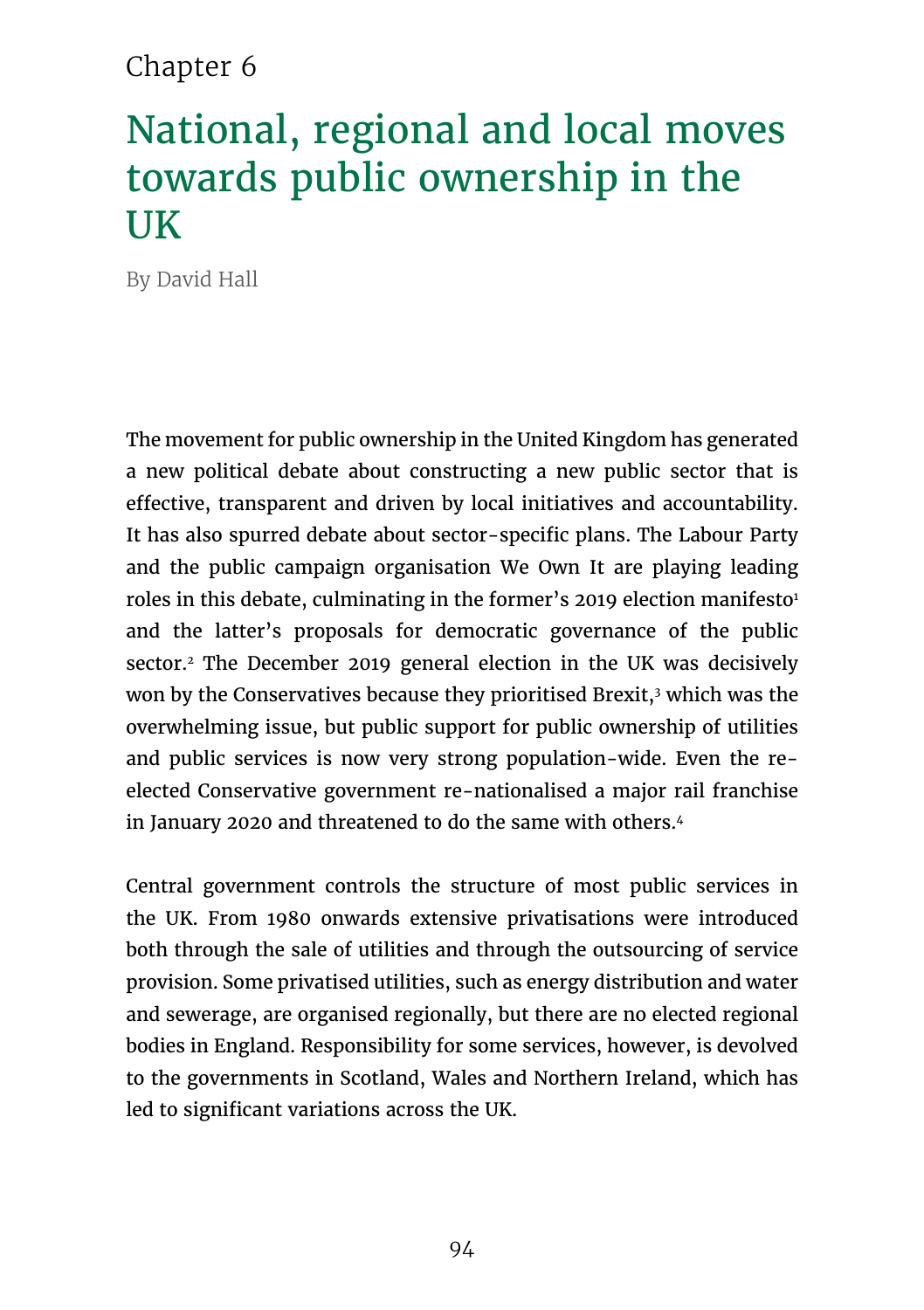# Chapter 6

# National, regional and local moves towards public ownership in the **UK**

By David Hall

The movement for public ownership in the United Kingdom has generated a new political debate about constructing a new public sector that is effective, transparent and driven by local initiatives and accountability. It has also spurred debate about sector-specific plans. The Labour Party and the public campaign organisation We Own It are playing leading roles in this debate, culminating in the former's 2019 election manifesto<sup>1</sup> and the latter's proposals for democratic governance of the public sector.<sup>2</sup> The December 2019 general election in the UK was decisively won by the Conservatives because they prioritised Brexit,3 which was the overwhelming issue, but public support for public ownership of utilities and public services is now very strong population-wide. Even the reelected Conservative government re-nationalised a major rail franchise in January 2020 and threatened to do the same with others.<sup>4</sup>

Central government controls the structure of most public services in the UK. From 1980 onwards extensive privatisations were introduced both through the sale of utilities and through the outsourcing of service provision. Some privatised utilities, such as energy distribution and water and sewerage, are organised regionally, but there are no elected regional bodies in England. Responsibility for some services, however, is devolved to the governments in Scotland, Wales and Northern Ireland, which has led to significant variations across the UK.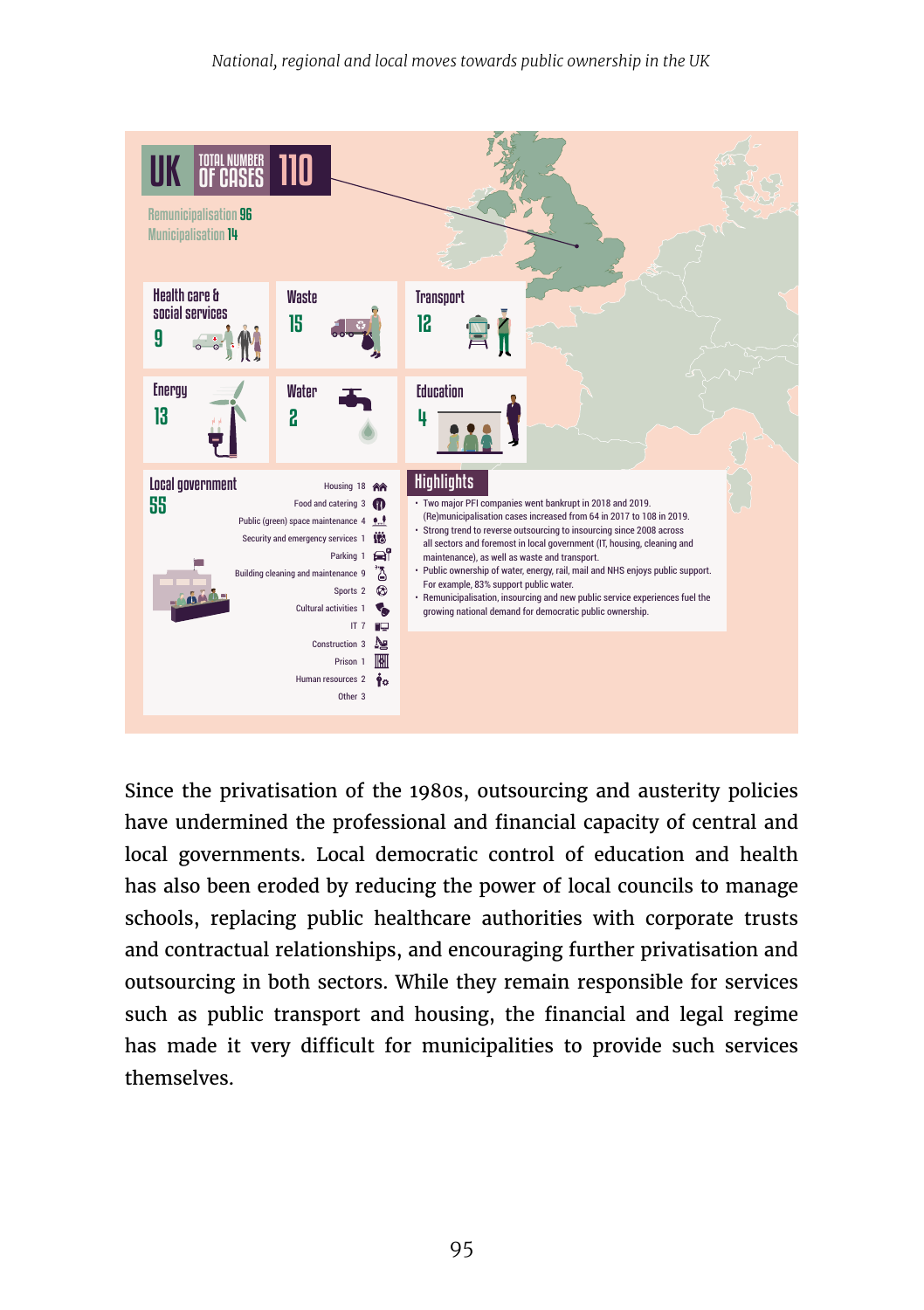

Since the privatisation of the 1980s, outsourcing and austerity policies have undermined the professional and financial capacity of central and local governments. Local democratic control of education and health has also been eroded by reducing the power of local councils to manage schools, replacing public healthcare authorities with corporate trusts and contractual relationships, and encouraging further privatisation and outsourcing in both sectors. While they remain responsible for services such as public transport and housing, the financial and legal regime has made it very difficult for municipalities to provide such services themselves.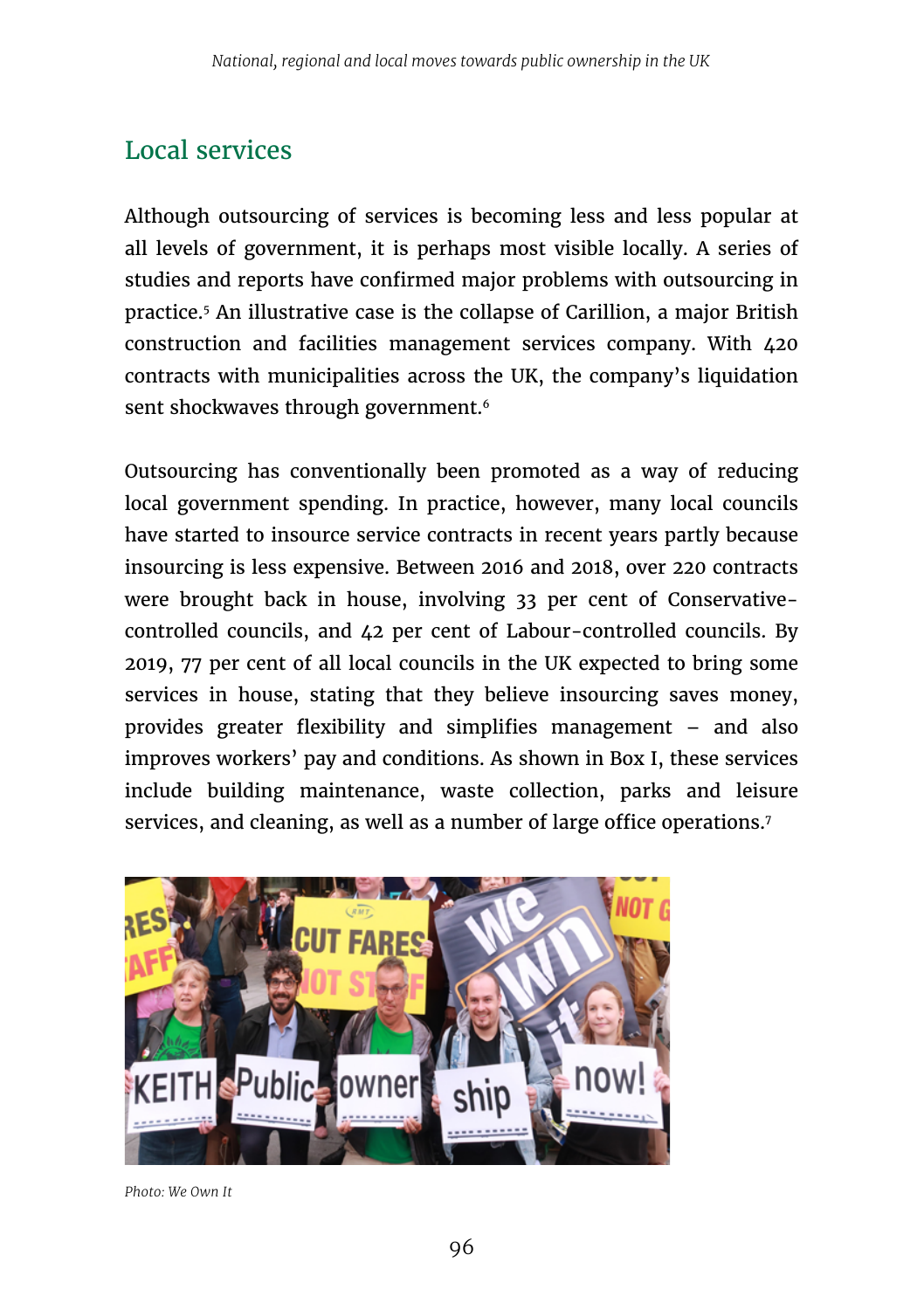# Local services

Although outsourcing of services is becoming less and less popular at all levels of government, it is perhaps most visible locally. A series of studies and reports have confirmed major problems with outsourcing in practice.5 An illustrative case is the collapse of Carillion, a major British construction and facilities management services company. With 420 contracts with municipalities across the UK, the company's liquidation sent shockwaves through government.<sup>6</sup>

Outsourcing has conventionally been promoted as a way of reducing local government spending. In practice, however, many local councils have started to insource service contracts in recent years partly because insourcing is less expensive. Between 2016 and 2018, over 220 contracts were brought back in house, involving 33 per cent of Conservativecontrolled councils, and 42 per cent of Labour-controlled councils. By 2019, 77 per cent of all local councils in the UK expected to bring some services in house, stating that they believe insourcing saves money, provides greater flexibility and simplifies management – and also improves workers' pay and conditions. As shown in Box I, these services include building maintenance, waste collection, parks and leisure services, and cleaning, as well as a number of large office operations.<sup>7</sup>



*Photo: We Own It*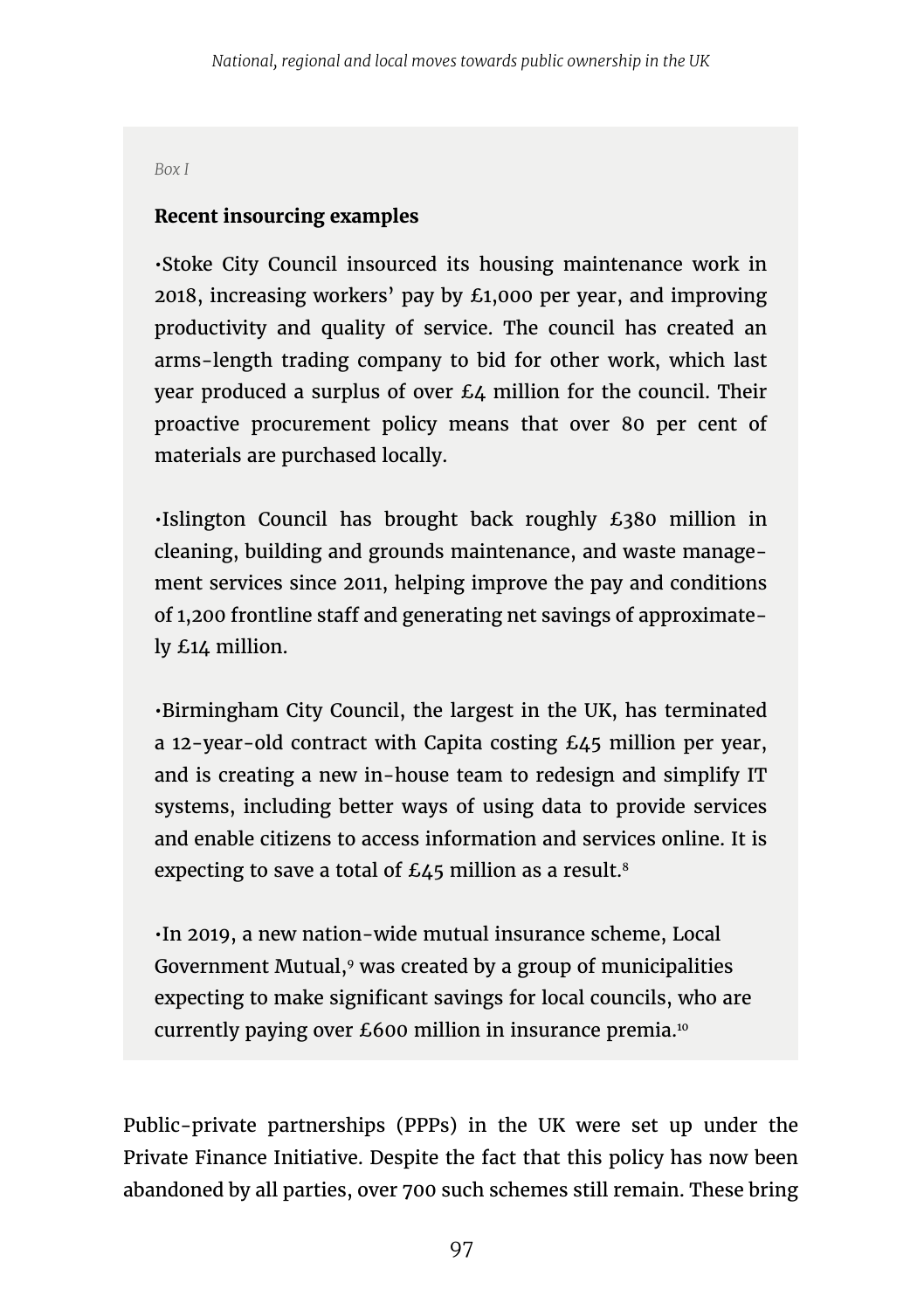*Box I*

#### **Recent insourcing examples**

•Stoke City Council insourced its housing maintenance work in 2018, increasing workers' pay by £1,000 per year, and improving productivity and quality of service. The council has created an arms-length trading company to bid for other work, which last year produced a surplus of over £4 million for the council. Their proactive procurement policy means that over 80 per cent of materials are purchased locally.

•Islington Council has brought back roughly £380 million in cleaning, building and grounds maintenance, and waste management services since 2011, helping improve the pay and conditions of 1,200 frontline staff and generating net savings of approximately £14 million.

•Birmingham City Council, the largest in the UK, has terminated a 12-year-old contract with Capita costing £45 million per year, and is creating a new in-house team to redesign and simplify IT systems, including better ways of using data to provide services and enable citizens to access information and services online. It is expecting to save a total of  $£45$  million as a result.<sup>8</sup>

•In 2019, a new nation-wide mutual insurance scheme, Local Government Mutual,<sup>9</sup> was created by a group of municipalities expecting to make significant savings for local councils, who are currently paying over £600 million in insurance premia.10

Public-private partnerships (PPPs) in the UK were set up under the Private Finance Initiative. Despite the fact that this policy has now been abandoned by all parties, over 700 such schemes still remain. These bring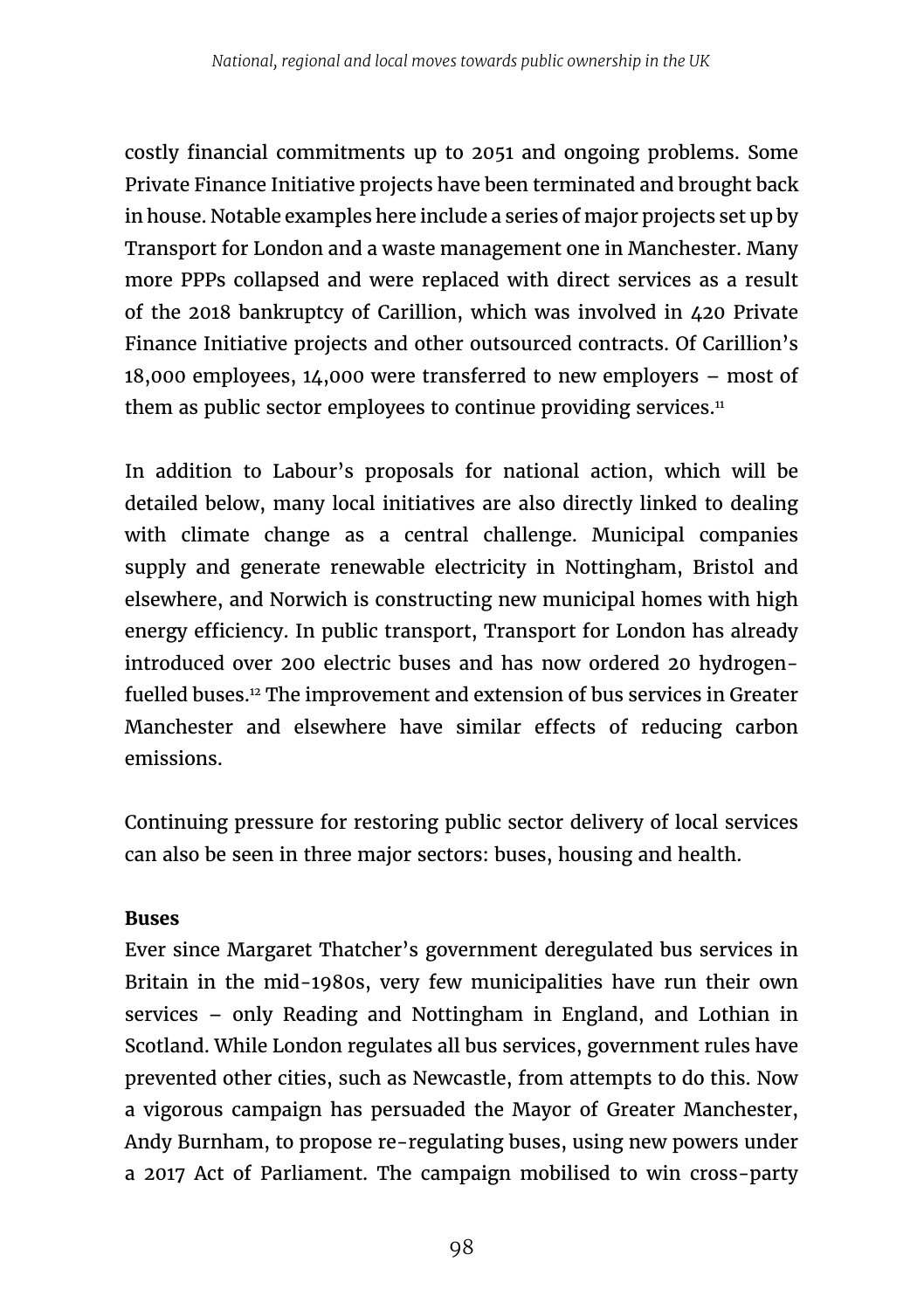costly financial commitments up to 2051 and ongoing problems. Some Private Finance Initiative projects have been terminated and brought back in house. Notable examples here include a series of major projects set up by Transport for London and a waste management one in Manchester. Many more PPPs collapsed and were replaced with direct services as a result of the 2018 bankruptcy of Carillion, which was involved in 420 Private Finance Initiative projects and other outsourced contracts. Of Carillion's 18,000 employees, 14,000 were transferred to new employers – most of them as public sector employees to continue providing services. $11$ 

In addition to Labour's proposals for national action, which will be detailed below, many local initiatives are also directly linked to dealing with climate change as a central challenge. Municipal companies supply and generate renewable electricity in Nottingham, Bristol and elsewhere, and Norwich is constructing new municipal homes with high energy efficiency. In public transport, Transport for London has already introduced over 200 electric buses and has now ordered 20 hydrogenfuelled buses.12 The improvement and extension of bus services in Greater Manchester and elsewhere have similar effects of reducing carbon emissions.

Continuing pressure for restoring public sector delivery of local services can also be seen in three major sectors: buses, housing and health.

#### **Buses**

Ever since Margaret Thatcher's government deregulated bus services in Britain in the mid-1980s, very few municipalities have run their own services – only Reading and Nottingham in England, and Lothian in Scotland. While London regulates all bus services, government rules have prevented other cities, such as Newcastle, from attempts to do this. Now a vigorous campaign has persuaded the Mayor of Greater Manchester, Andy Burnham, to propose re-regulating buses, using new powers under a 2017 Act of Parliament. The campaign mobilised to win cross-party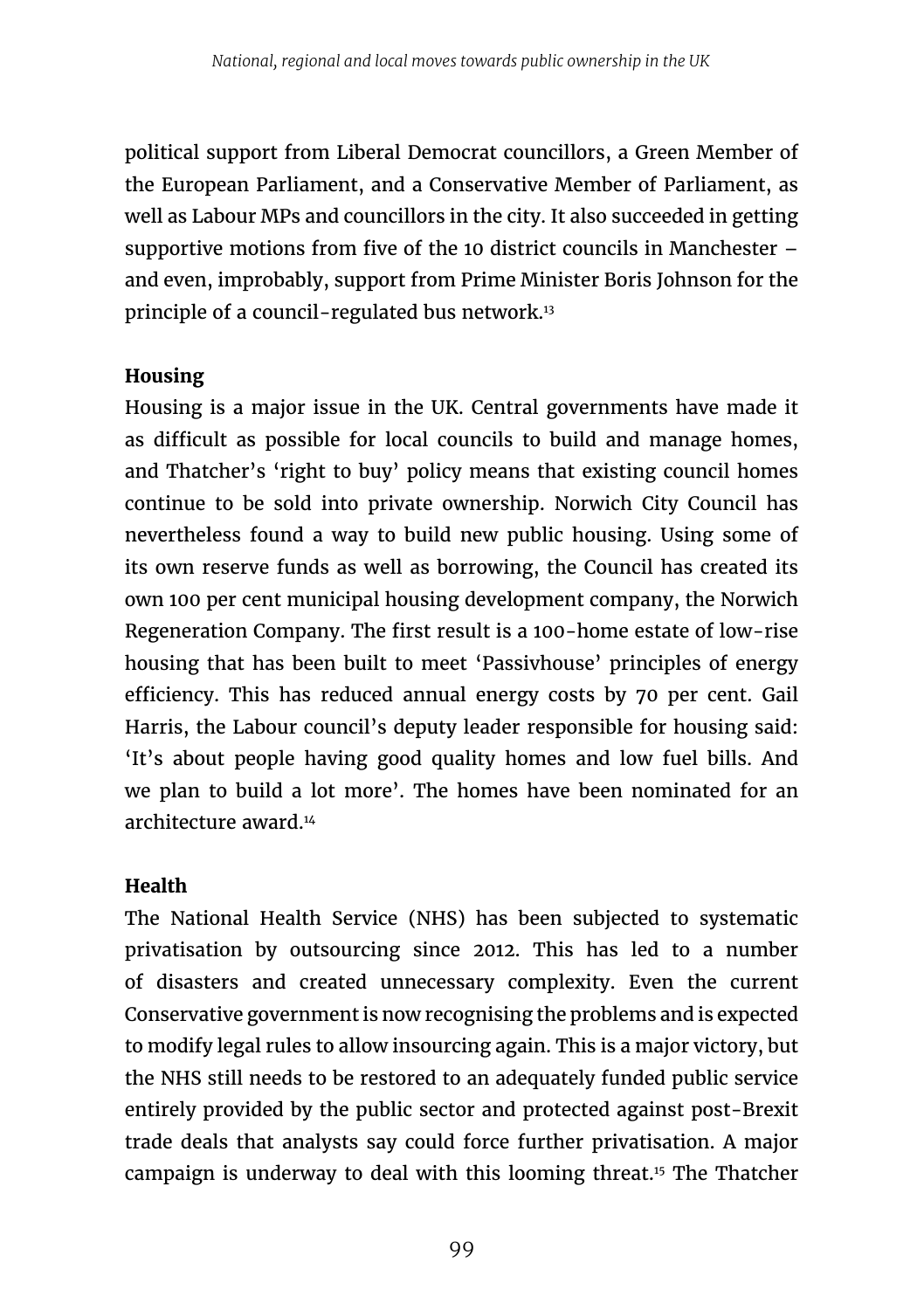political support from Liberal Democrat councillors, a Green Member of the European Parliament, and a Conservative Member of Parliament, as well as Labour MPs and councillors in the city. It also succeeded in getting supportive motions from five of the 10 district councils in Manchester – and even, improbably, support from Prime Minister Boris Johnson for the principle of a council-regulated bus network.13

### **Housing**

Housing is a major issue in the UK. Central governments have made it as difficult as possible for local councils to build and manage homes, and Thatcher's 'right to buy' policy means that existing council homes continue to be sold into private ownership. Norwich City Council has nevertheless found a way to build new public housing. Using some of its own reserve funds as well as borrowing, the Council has created its own 100 per cent municipal housing development company, the Norwich Regeneration Company. The first result is a 100-home estate of low-rise housing that has been built to meet 'Passivhouse' principles of energy efficiency. This has reduced annual energy costs by 70 per cent. Gail Harris, the Labour council's deputy leader responsible for housing said: 'It's about people having good quality homes and low fuel bills. And we plan to build a lot more'. The homes have been nominated for an architecture award<sup>14</sup>

### **Health**

The National Health Service (NHS) has been subjected to systematic privatisation by outsourcing since 2012. This has led to a number of disasters and created unnecessary complexity. Even the current Conservative government is now recognising the problems and is expected to modify legal rules to allow insourcing again. This is a major victory, but the NHS still needs to be restored to an adequately funded public service entirely provided by the public sector and protected against post-Brexit trade deals that analysts say could force further privatisation. A major campaign is underway to deal with this looming threat.15 The Thatcher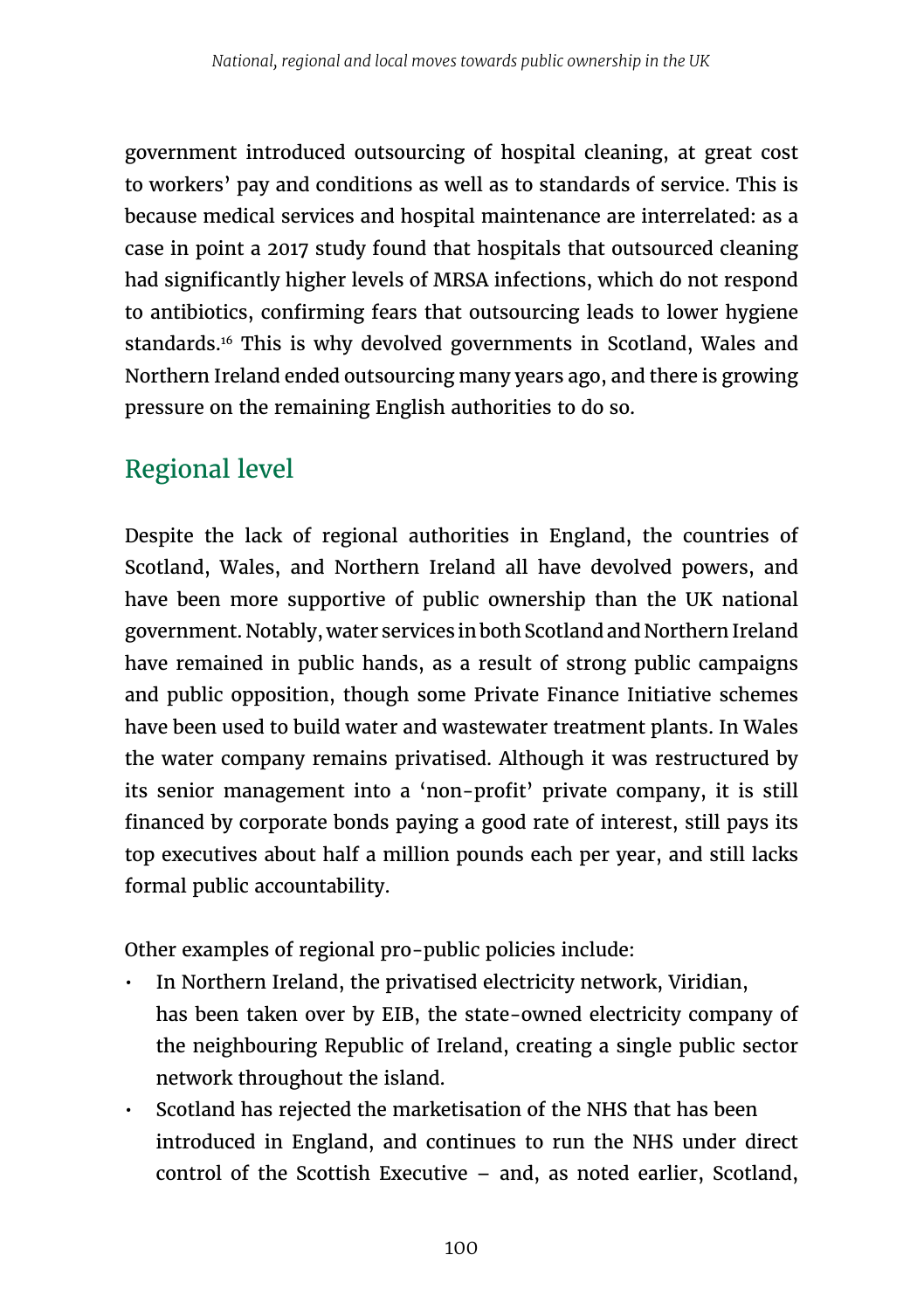government introduced outsourcing of hospital cleaning, at great cost to workers' pay and conditions as well as to standards of service. This is because medical services and hospital maintenance are interrelated: as a case in point a 2017 study found that hospitals that outsourced cleaning had significantly higher levels of MRSA infections, which do not respond to antibiotics, confirming fears that outsourcing leads to lower hygiene standards.<sup>16</sup> This is why devolved governments in Scotland, Wales and Northern Ireland ended outsourcing many years ago, and there is growing pressure on the remaining English authorities to do so.

# Regional level

Despite the lack of regional authorities in England, the countries of Scotland, Wales, and Northern Ireland all have devolved powers, and have been more supportive of public ownership than the UK national government. Notably, water services in both Scotland and Northern Ireland have remained in public hands, as a result of strong public campaigns and public opposition, though some Private Finance Initiative schemes have been used to build water and wastewater treatment plants. In Wales the water company remains privatised. Although it was restructured by its senior management into a 'non-profit' private company, it is still financed by corporate bonds paying a good rate of interest, still pays its top executives about half a million pounds each per year, and still lacks formal public accountability.

Other examples of regional pro-public policies include:

- In Northern Ireland, the privatised electricity network, Viridian, has been taken over by EIB, the state-owned electricity company of the neighbouring Republic of Ireland, creating a single public sector network throughout the island.
- Scotland has rejected the marketisation of the NHS that has been introduced in England, and continues to run the NHS under direct control of the Scottish Executive – and, as noted earlier, Scotland,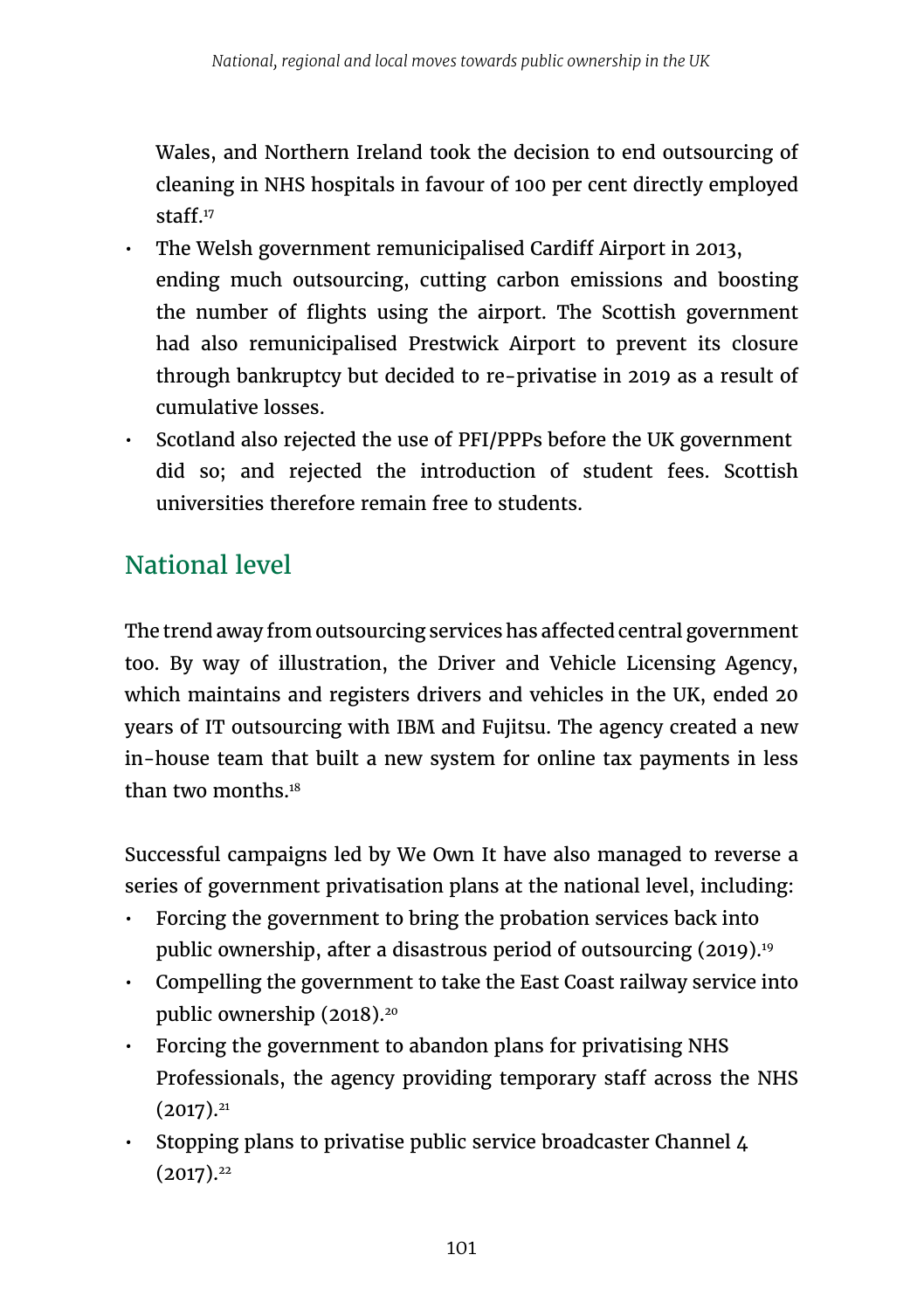Wales, and Northern Ireland took the decision to end outsourcing of cleaning in NHS hospitals in favour of 100 per cent directly employed staff<sup>17</sup>

- The Welsh government remunicipalised Cardiff Airport in 2013, ending much outsourcing, cutting carbon emissions and boosting the number of flights using the airport. The Scottish government had also remunicipalised Prestwick Airport to prevent its closure through bankruptcy but decided to re-privatise in 2019 as a result of cumulative losses.
- Scotland also rejected the use of PFI/PPPs before the UK government did so; and rejected the introduction of student fees. Scottish universities therefore remain free to students.

# National level

The trend away from outsourcing services has affected central government too. By way of illustration, the Driver and Vehicle Licensing Agency, which maintains and registers drivers and vehicles in the UK, ended 20 years of IT outsourcing with IBM and Fujitsu. The agency created a new in-house team that built a new system for online tax payments in less than two months.18

Successful campaigns led by We Own It have also managed to reverse a series of government privatisation plans at the national level, including:

- Forcing the government to bring the probation services back into public ownership, after a disastrous period of outsourcing (2019).<sup>19</sup>
- Compelling the government to take the East Coast railway service into public ownership (2018).<sup>20</sup>
- Forcing the government to abandon plans for privatising NHS Professionals, the agency providing temporary staff across the NHS  $(2017).^{21}$
- Stopping plans to privatise public service broadcaster Channel 4  $(2017).<sup>22</sup>$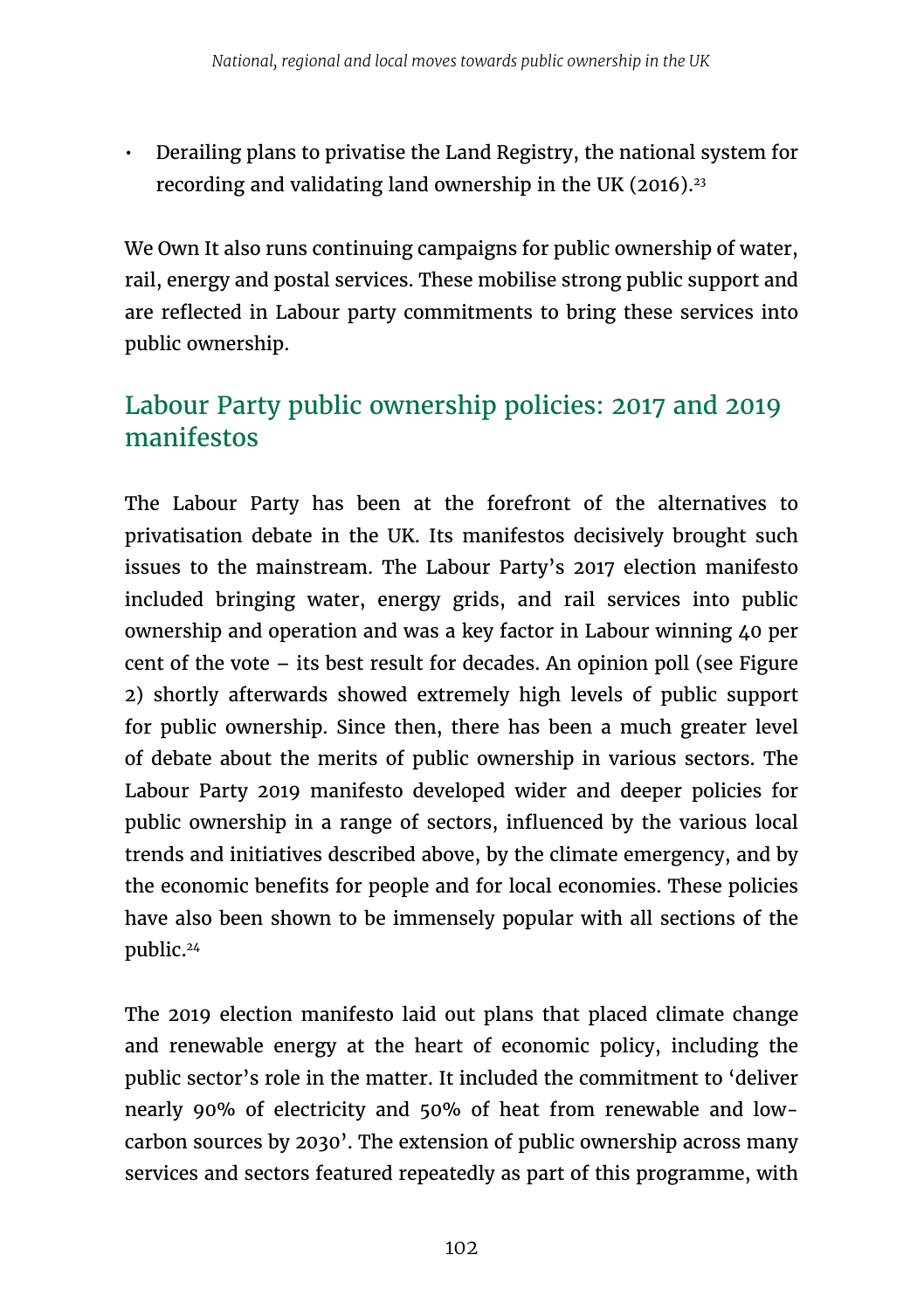• Derailing plans to privatise the Land Registry, the national system for recording and validating land ownership in the UK  $(2016).^{23}$ 

We Own It also runs continuing campaigns for public ownership of water, rail, energy and postal services. These mobilise strong public support and are reflected in Labour party commitments to bring these services into public ownership.

# Labour Party public ownership policies: 2017 and 2019 manifestos

The Labour Party has been at the forefront of the alternatives to privatisation debate in the UK. Its manifestos decisively brought such issues to the mainstream. The Labour Party's 2017 election manifesto included bringing water, energy grids, and rail services into public ownership and operation and was a key factor in Labour winning 40 per cent of the vote – its best result for decades. An opinion poll (see Figure 2) shortly afterwards showed extremely high levels of public support for public ownership. Since then, there has been a much greater level of debate about the merits of public ownership in various sectors. The Labour Party 2019 manifesto developed wider and deeper policies for public ownership in a range of sectors, influenced by the various local trends and initiatives described above, by the climate emergency, and by the economic benefits for people and for local economies. These policies have also been shown to be immensely popular with all sections of the public.24

The 2019 election manifesto laid out plans that placed climate change and renewable energy at the heart of economic policy, including the public sector's role in the matter. It included the commitment to 'deliver nearly 90% of electricity and 50% of heat from renewable and lowcarbon sources by 2030'. The extension of public ownership across many services and sectors featured repeatedly as part of this programme, with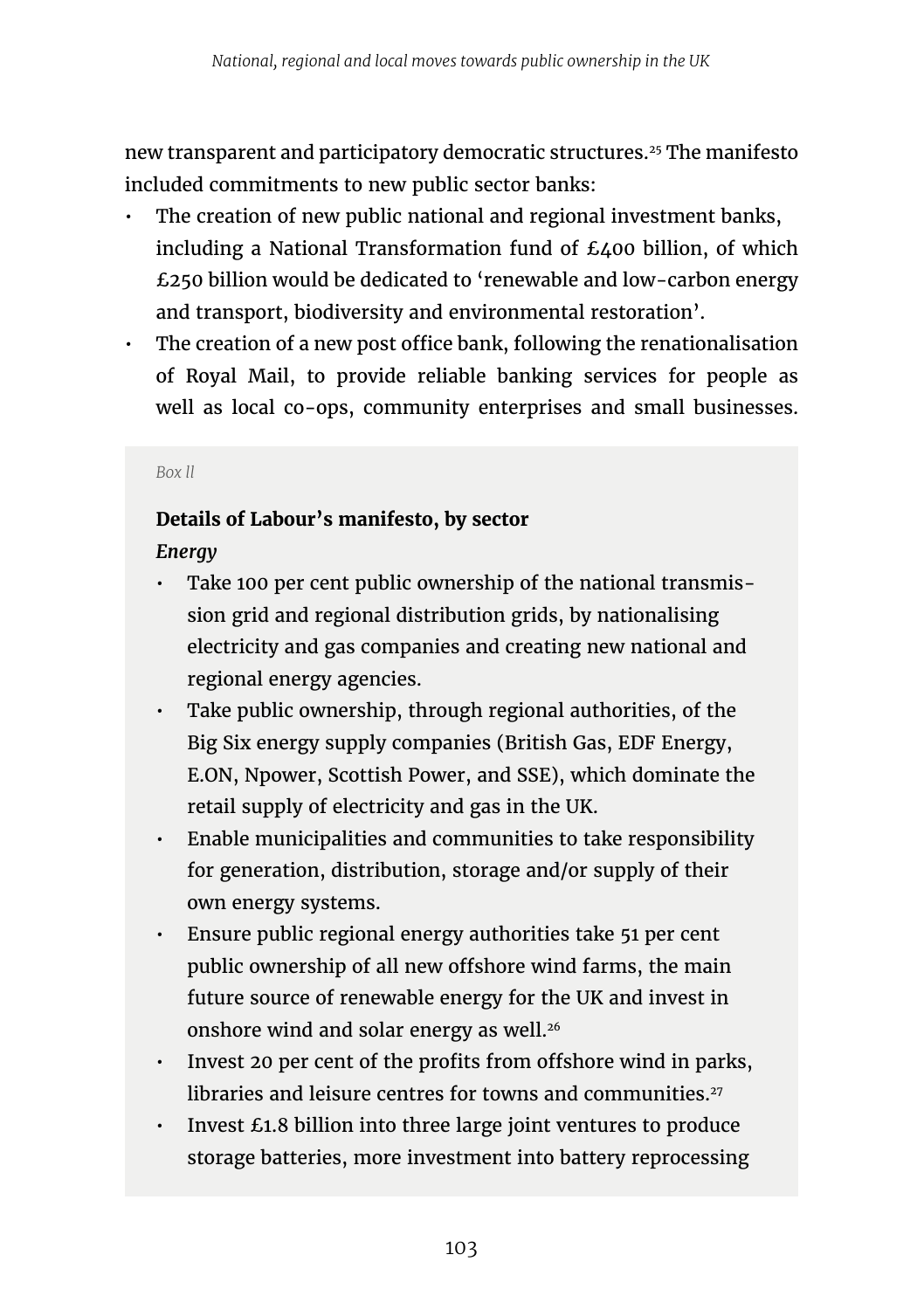new transparent and participatory democratic structures.25 The manifesto included commitments to new public sector banks:

- The creation of new public national and regional investment banks, including a National Transformation fund of £400 billion, of which £250 billion would be dedicated to 'renewable and low-carbon energy and transport, biodiversity and environmental restoration'.
- The creation of a new post office bank, following the renationalisation of Royal Mail, to provide reliable banking services for people as well as local co-ops, community enterprises and small businesses.

#### *Box ll*

### **Details of Labour's manifesto, by sector**

*Energy*

- Take 100 per cent public ownership of the national transmission grid and regional distribution grids, by nationalising electricity and gas companies and creating new national and regional energy agencies.
- Take public ownership, through regional authorities, of the Big Six energy supply companies (British Gas, EDF Energy, E.ON, Npower, Scottish Power, and SSE), which dominate the retail supply of electricity and gas in the UK.
- Enable municipalities and communities to take responsibility for generation, distribution, storage and/or supply of their own energy systems.
- Ensure public regional energy authorities take 51 per cent public ownership of all new offshore wind farms, the main future source of renewable energy for the UK and invest in onshore wind and solar energy as well.<sup>26</sup>
- Invest 20 per cent of the profits from offshore wind in parks, libraries and leisure centres for towns and communities.<sup>27</sup>
- Invest £1.8 billion into three large joint ventures to produce storage batteries, more investment into battery reprocessing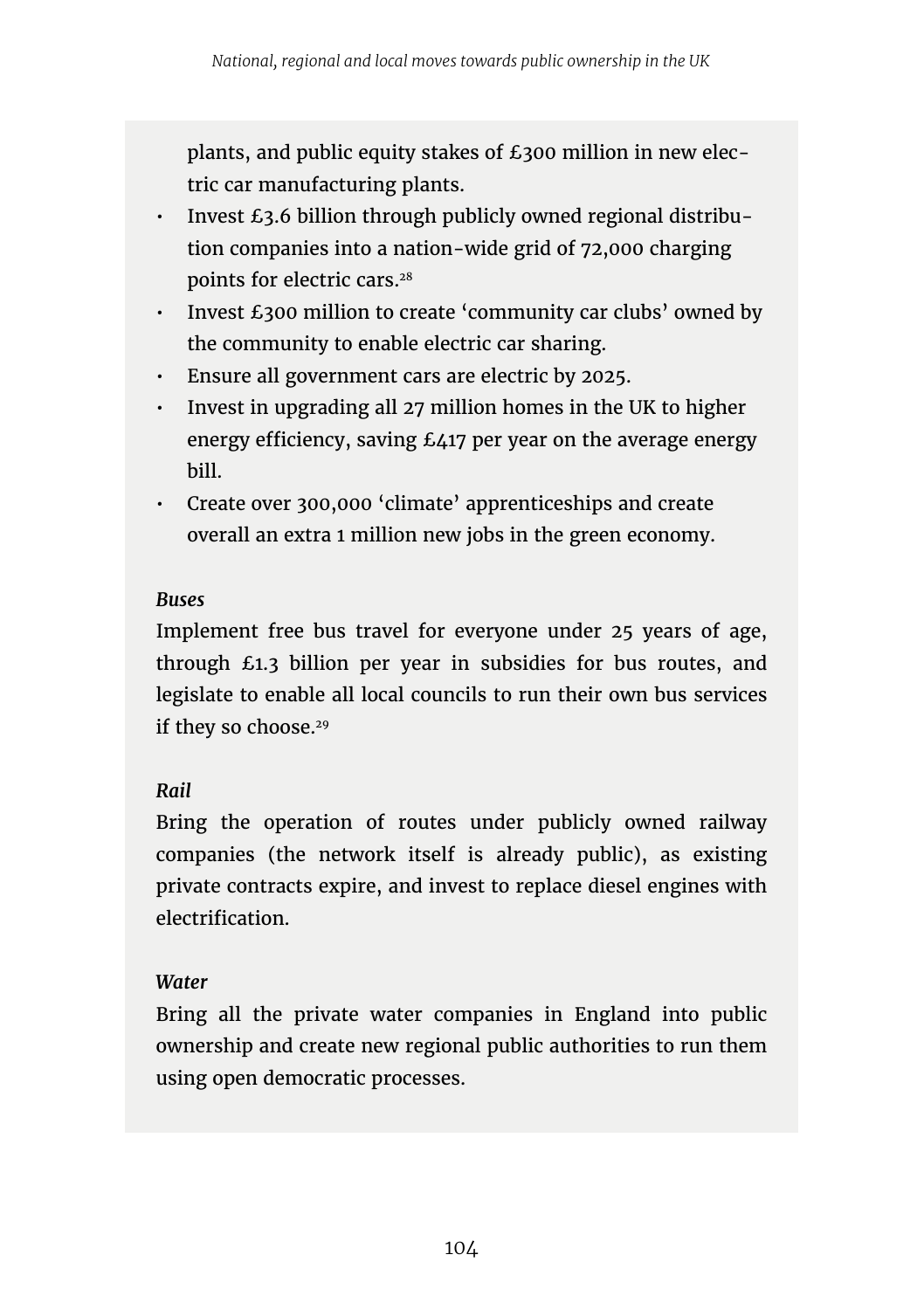plants, and public equity stakes of £300 million in new electric car manufacturing plants.

- Invest £3.6 billion through publicly owned regional distribution companies into a nation-wide grid of 72,000 charging points for electric cars.28
- Invest £300 million to create 'community car clubs' owned by the community to enable electric car sharing.
- Ensure all government cars are electric by 2025.
- $\cdot$  Invest in upgrading all 27 million homes in the UK to higher energy efficiency, saving £417 per year on the average energy bill.
- Create over 300,000 'climate' apprenticeships and create overall an extra 1 million new jobs in the green economy.

### *Buses*

Implement free bus travel for everyone under 25 years of age, through £1.3 billion per year in subsidies for bus routes, and legislate to enable all local councils to run their own bus services if they so choose.<sup>29</sup>

### *Rail*

Bring the operation of routes under publicly owned railway companies (the network itself is already public), as existing private contracts expire, and invest to replace diesel engines with electrification.

### *Water*

Bring all the private water companies in England into public ownership and create new regional public authorities to run them using open democratic processes.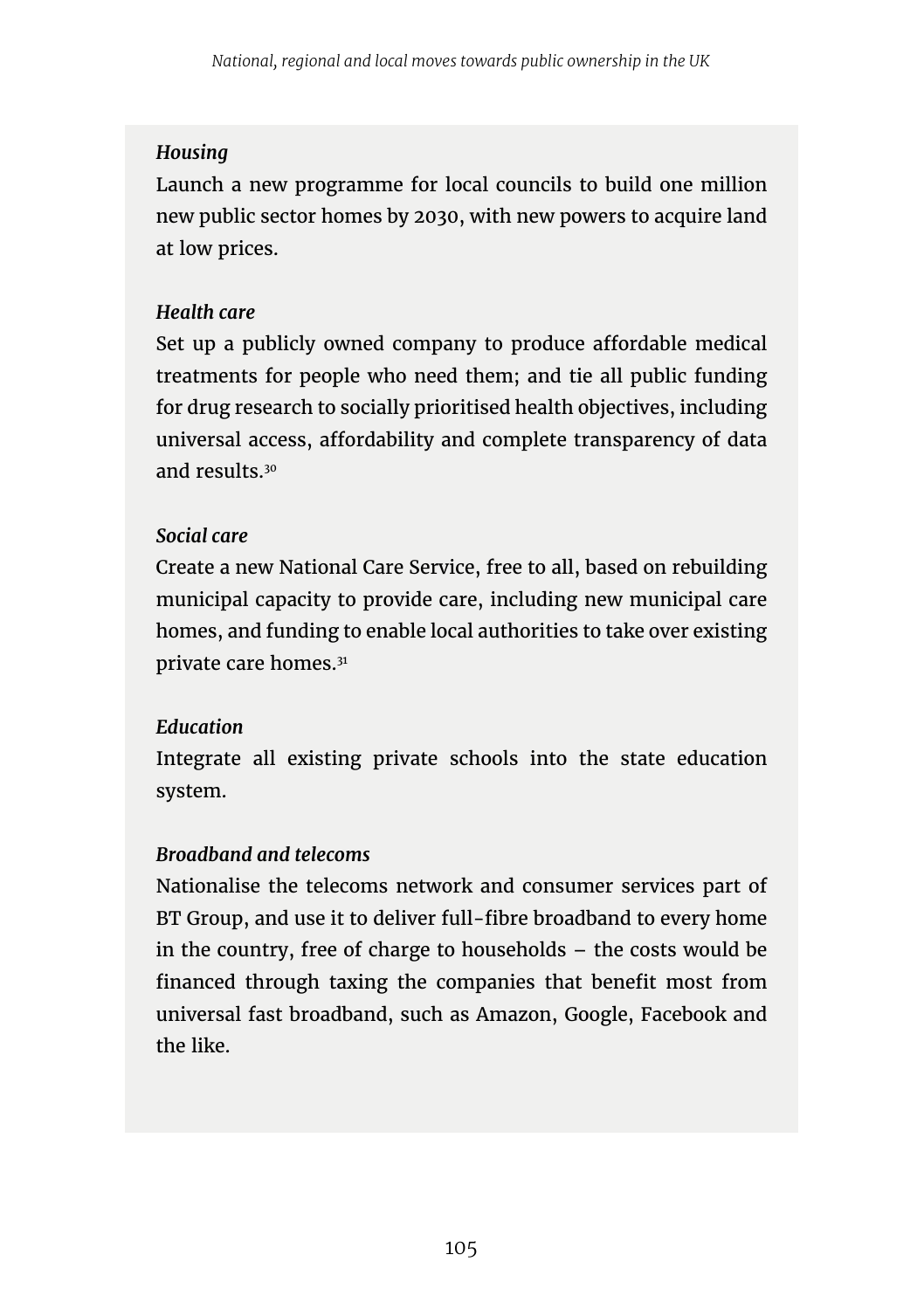#### *Housing*

Launch a new programme for local councils to build one million new public sector homes by 2030, with new powers to acquire land at low prices.

### *Health care*

Set up a publicly owned company to produce affordable medical treatments for people who need them; and tie all public funding for drug research to socially prioritised health objectives, including universal access, affordability and complete transparency of data and results.30

#### *Social care*

Create a new National Care Service, free to all, based on rebuilding municipal capacity to provide care, including new municipal care homes, and funding to enable local authorities to take over existing private care homes.31

#### *Education*

Integrate all existing private schools into the state education system.

### *Broadband and telecoms*

Nationalise the telecoms network and consumer services part of BT Group, and use it to deliver full-fibre broadband to every home in the country, free of charge to households – the costs would be financed through taxing the companies that benefit most from universal fast broadband, such as Amazon, Google, Facebook and the like.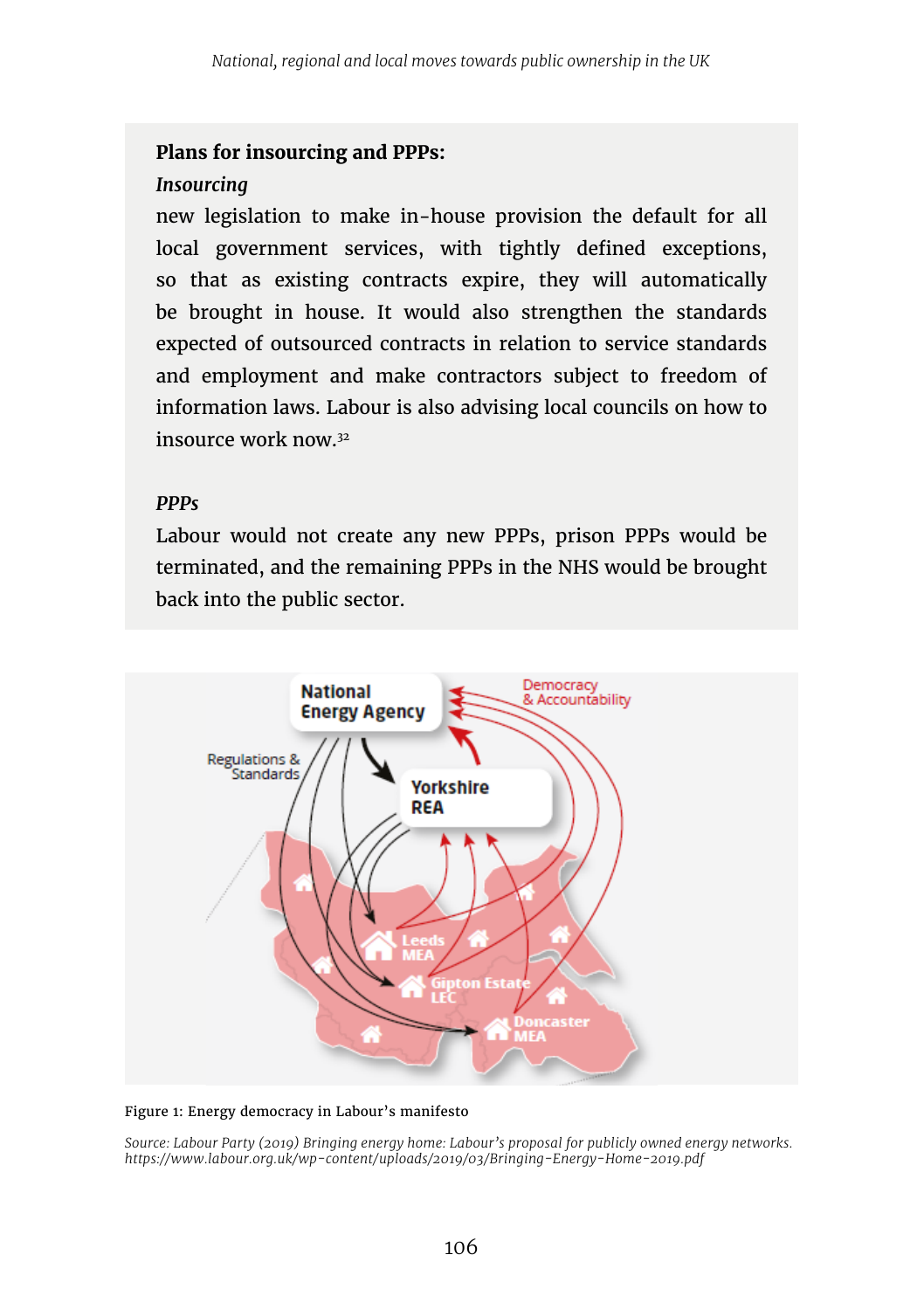#### **Plans for insourcing and PPPs:**

#### *Insourcing*

new legislation to make in-house provision the default for all local government services, with tightly defined exceptions, so that as existing contracts expire, they will automatically be brought in house. It would also strengthen the standards expected of outsourced contracts in relation to service standards and employment and make contractors subject to freedom of information laws. Labour is also advising local councils on how to insource work now.32

#### *PPPs*

Labour would not create any new PPPs, prison PPPs would be terminated, and the remaining PPPs in the NHS would be brought back into the public sector.



#### Figure 1: Energy democracy in Labour's manifesto

*Source: Labour Party (2019) Bringing energy home: Labour's proposal for publicly owned energy networks. https://www.labour.org.uk/wp-content/uploads/2019/03/Bringing-Energy-Home-2019.pdf*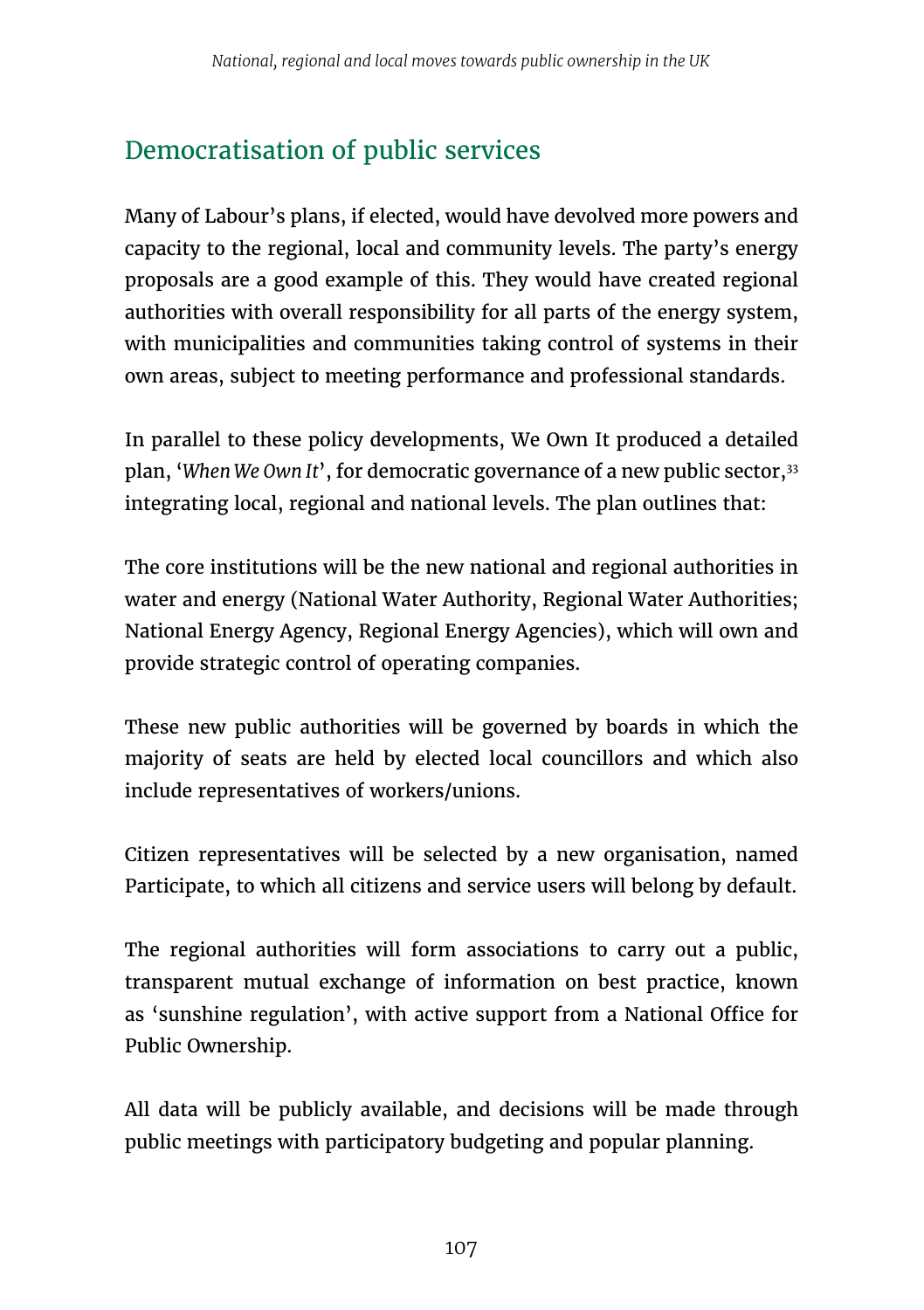# Democratisation of public services

Many of Labour's plans, if elected, would have devolved more powers and capacity to the regional, local and community levels. The party's energy proposals are a good example of this. They would have created regional authorities with overall responsibility for all parts of the energy system, with municipalities and communities taking control of systems in their own areas, subject to meeting performance and professional standards.

In parallel to these policy developments, We Own It produced a detailed plan, '*When We Own It*', for democratic governance of a new public sector,33 integrating local, regional and national levels. The plan outlines that:

The core institutions will be the new national and regional authorities in water and energy (National Water Authority, Regional Water Authorities; National Energy Agency, Regional Energy Agencies), which will own and provide strategic control of operating companies.

These new public authorities will be governed by boards in which the majority of seats are held by elected local councillors and which also include representatives of workers/unions.

Citizen representatives will be selected by a new organisation, named Participate, to which all citizens and service users will belong by default.

The regional authorities will form associations to carry out a public, transparent mutual exchange of information on best practice, known as 'sunshine regulation', with active support from a National Office for Public Ownership.

All data will be publicly available, and decisions will be made through public meetings with participatory budgeting and popular planning.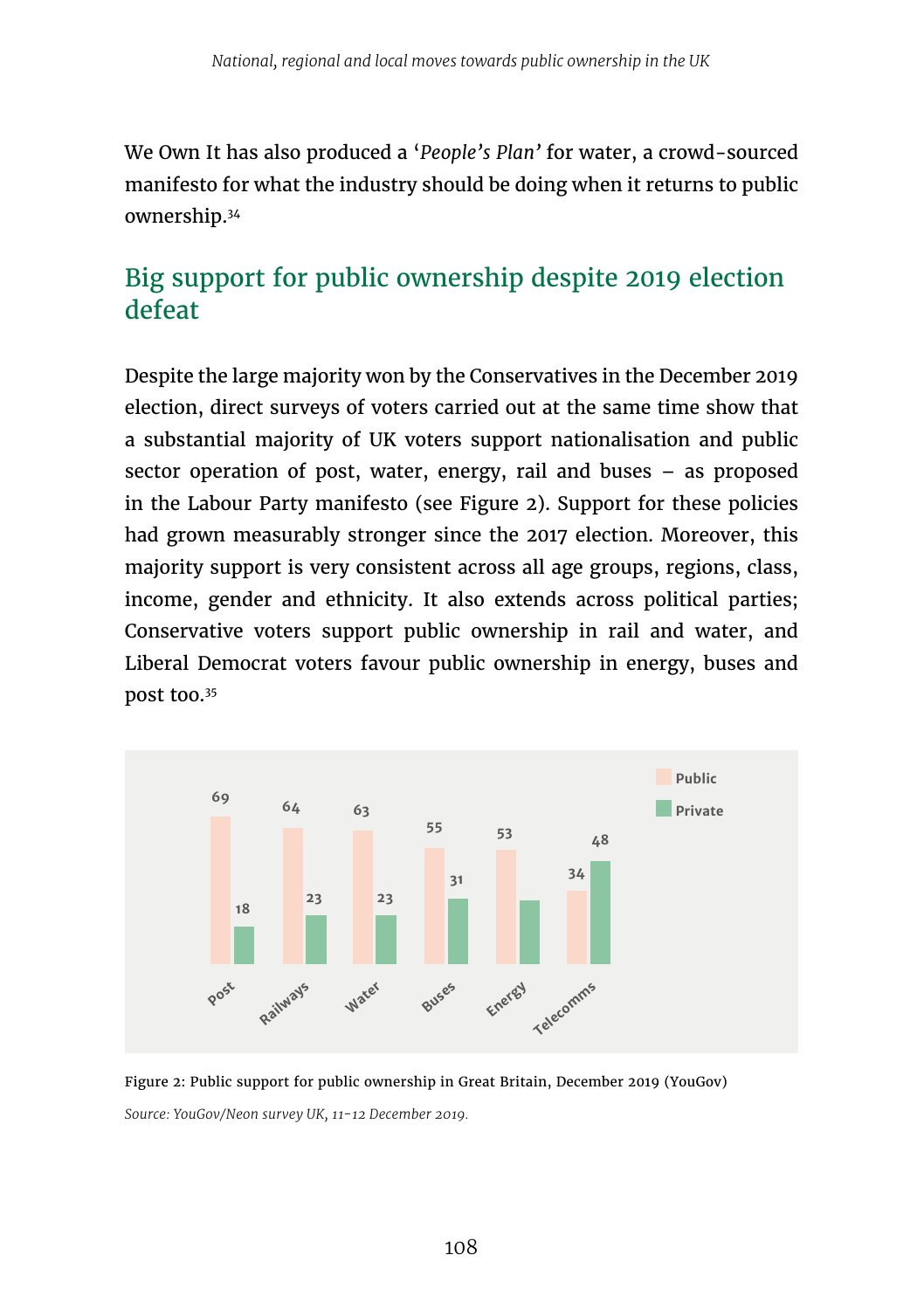We Own It has also produced a '*People's Plan'* for water, a crowd-sourced manifesto for what the industry should be doing when it returns to public ownership.34

# Big support for public ownership despite 2019 election defeat

Despite the large majority won by the Conservatives in the December 2019 election, direct surveys of voters carried out at the same time show that a substantial majority of UK voters support nationalisation and public sector operation of post, water, energy, rail and buses – as proposed in the Labour Party manifesto (see Figure 2). Support for these policies had grown measurably stronger since the 2017 election. Moreover, this majority support is very consistent across all age groups, regions, class, income, gender and ethnicity. It also extends across political parties; Conservative voters support public ownership in rail and water, and Liberal Democrat voters favour public ownership in energy, buses and post too.35



Figure 2: Public support for public ownership in Great Britain, December 2019 (YouGov) *Source: YouGov/Neon survey UK, 11-12 December 2019.*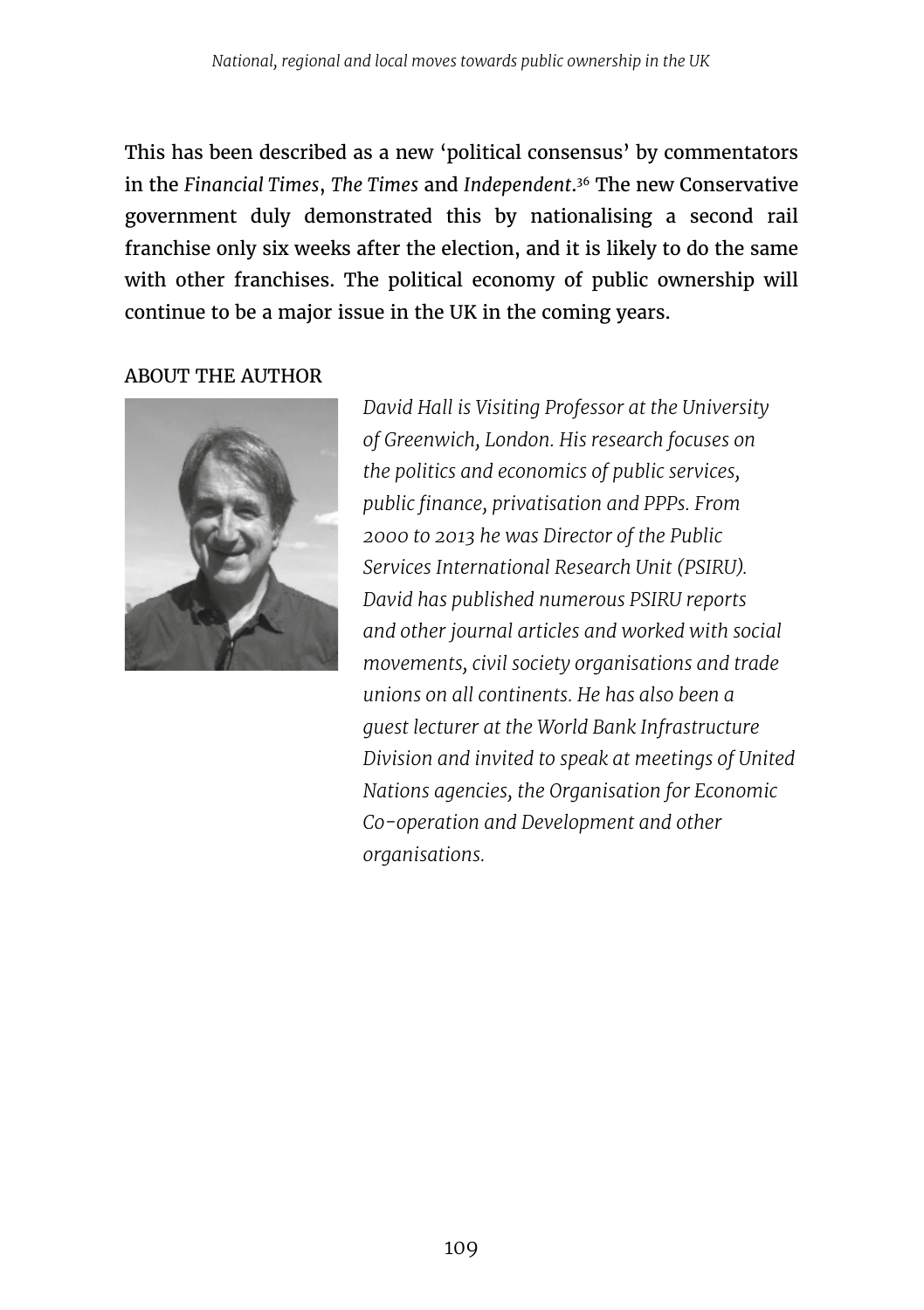This has been described as a new 'political consensus' by commentators in the *Financial Times*, *The Times* and *Independent*. 36 The new Conservative government duly demonstrated this by nationalising a second rail franchise only six weeks after the election, and it is likely to do the same with other franchises. The political economy of public ownership will continue to be a major issue in the UK in the coming years.

ABOUT THE AUTHOR



*David Hall is Visiting Professor at the University of Greenwich, London. His research focuses on the politics and economics of public services, public finance, privatisation and PPPs. From 2000 to 2013 he was Director of the Public Services International Research Unit (PSIRU). David has published numerous PSIRU reports and other journal articles and worked with social movements, civil society organisations and trade unions on all continents. He has also been a guest lecturer at the World Bank Infrastructure Division and invited to speak at meetings of United Nations agencies, the Organisation for Economic Co-operation and Development and other organisations.*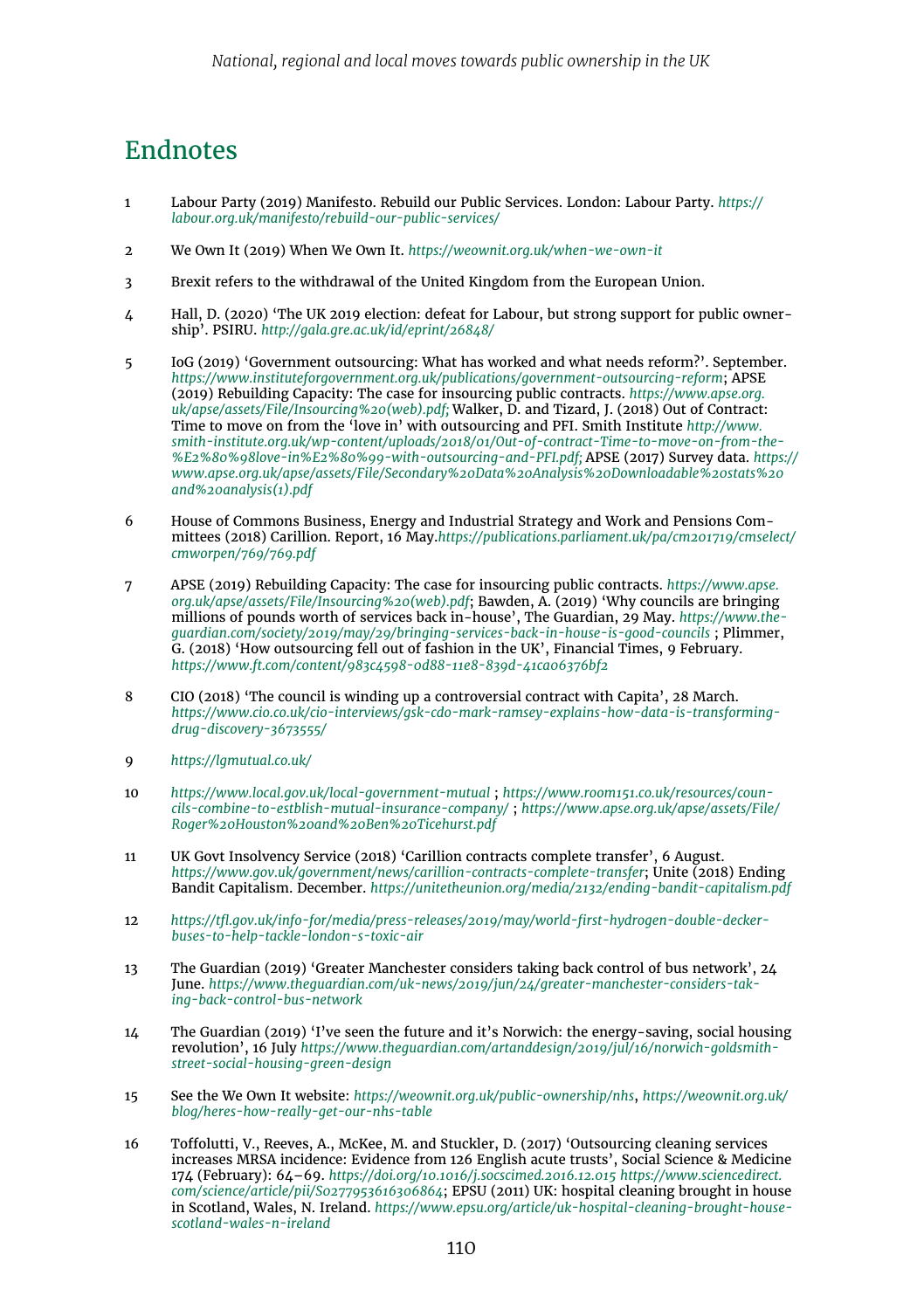### Endnotes

- 1 Labour Party (2019) Manifesto. Rebuild our Public Services. London: Labour Party. *https:// labour.org.uk/manifesto/rebuild-our-public-services/*
- 2 We Own It (2019) When We Own It. *<https://weownit.org.uk/when-we-own-it>*
- 3 Brexit refers to the withdrawal of the United Kingdom from the European Union.
- 4 Hall, D. (2020) 'The UK 2019 election: defeat for Labour, but strong support for public ownership'. PSIRU. *<http://gala.gre.ac.uk/id/eprint/26848/>*
- 5 IoG (2019) 'Government outsourcing: What has worked and what needs reform?'. September. *<https://www.instituteforgovernment.org.uk/publications/government-outsourcing-reform>*; APSE (2019) Rebuilding Capacity: The case for insourcing public contracts. *[https://www.apse.org.](https://www.apse.org.uk/apse/assets/File/Insourcing%20(web).pdf) [uk/apse/assets/File/Insourcing%20\(web\).pdf;](https://www.apse.org.uk/apse/assets/File/Insourcing%20(web).pdf)* Walker, D. and Tizard, J. (2018) Out of Contract: Time to move on from the 'love in' with outsourcing and PFI. Smith Institute *[http://www.](http://www.smith-institute.org.uk/wp-content/uploads/2018/01/Out-of-contract-Time-to-move-on-from-the-‘love-in’-with-outsourcing-and-PFI.pdf) [smith-institute.org.uk/wp-content/uploads/2018/01/Out-of-contract-Time-to-move-on-from-the-](http://www.smith-institute.org.uk/wp-content/uploads/2018/01/Out-of-contract-Time-to-move-on-from-the-‘love-in’-with-outsourcing-and-PFI.pdf) [%E2%80%98love-in%E2%80%99-with-outsourcing-and-PFI.pdf](http://www.smith-institute.org.uk/wp-content/uploads/2018/01/Out-of-contract-Time-to-move-on-from-the-‘love-in’-with-outsourcing-and-PFI.pdf);* APSE (2017) Survey data. *[https://](https://www.apse.org.uk/apse/assets/File/Secondary%20Data%20Analysis%20Downloadable%20stats%20and%20analysis(1).pdf) [www.apse.org.uk/apse/assets/File/Secondary%20Data%20Analysis%20Downloadable%20stats%20](https://www.apse.org.uk/apse/assets/File/Secondary%20Data%20Analysis%20Downloadable%20stats%20and%20analysis(1).pdf) [and%20analysis\(1\).pdf](https://www.apse.org.uk/apse/assets/File/Secondary%20Data%20Analysis%20Downloadable%20stats%20and%20analysis(1).pdf)*
- 6 House of Commons Business, Energy and Industrial Strategy and Work and Pensions Committees (2018) Carillion. Report, 16 May.*[https://publications.parliament.uk/pa/cm201719/cmselect/](https://publications.parliament.uk/pa/cm201719/cmselect/cmworpen/769/769.pdf) [cmworpen/769/769.pdf](https://publications.parliament.uk/pa/cm201719/cmselect/cmworpen/769/769.pdf)*
- 7 APSE (2019) Rebuilding Capacity: The case for insourcing public contracts. *[https://www.apse.](https://www.apse.org.uk/apse/assets/File/Insourcing%20(web).pdf) [org.uk/apse/assets/File/Insourcing%20\(web\).pdf](https://www.apse.org.uk/apse/assets/File/Insourcing%20(web).pdf)*; Bawden, A. (2019) 'Why councils are bringing millions of pounds worth of services back in-house', The Guardian, 29 May. *[https://www.the](https://www.theguardian.com/society/2019/may/29/bringing-services-back-in-house-is-good-councils)*[guardian.com/society/2019/may/29/bringing-services-back-in-house-is-good-councils](https://www.theguardian.com/society/2019/may/29/bringing-services-back-in-house-is-good-councils) **; Plimmer,**<br>G. (2018) 'How outsourcing fell out of fashion in the UK', Financial Times, 9 February. *<https://www.ft.com/content/983c4598-0d88-11e8-839d-41ca06376bf2>*
- 8 CIO (2018) 'The council is winding up a controversial contract with Capita', 28 March. *[https://www.cio.co.uk/cio-interviews/gsk-cdo-mark-ramsey-explains-how-data-is-transforming](https://www.cio.co.uk/cio-interviews/gsk-cdo-mark-ramsey-explains-how-data-is-transforming-drug-discovery-3673555/)[drug-discovery-3673555/](https://www.cio.co.uk/cio-interviews/gsk-cdo-mark-ramsey-explains-how-data-is-transforming-drug-discovery-3673555/)*
- 9 *<https://lgmutual.co.uk/>*
- 10 *<https://www.local.gov.uk/local-government-mutual>* ; *[https://www.room151.co.uk/resources/coun](https://www.room151.co.uk/resources/councils-combine-to-estblish-mutual-insurance-company/)[cils-combine-to-estblish-mutual-insurance-company/](https://www.room151.co.uk/resources/councils-combine-to-estblish-mutual-insurance-company/)* ; *[https://www.apse.org.uk/apse/assets/File/](https://www.apse.org.uk/apse/assets/File/Roger%20Houston%20and%20Ben%20Ticehurst.pdf) [Roger%20Houston%20and%20Ben%20Ticehurst.pdf](https://www.apse.org.uk/apse/assets/File/Roger%20Houston%20and%20Ben%20Ticehurst.pdf)*
- 11 UK Govt Insolvency Service (2018) 'Carillion contracts complete transfer', 6 August. *<https://www.gov.uk/government/news/carillion-contracts-complete-transfer>*; Unite (2018) Ending Bandit Capitalism. December. *<https://unitetheunion.org/media/2132/ending-bandit-capitalism.pdf>*
- 12 *[https://tfl.gov.uk/info-for/media/press-releases/2019/may/world-first-hydrogen-double-decker](https://tfl.gov.uk/info-for/media/press-releases/2019/may/world-first-hydrogen-double-decker-buses-to-help-tackle-london-s-toxic-air)[buses-to-help-tackle-london-s-toxic-air](https://tfl.gov.uk/info-for/media/press-releases/2019/may/world-first-hydrogen-double-decker-buses-to-help-tackle-london-s-toxic-air)*
- 13 The Guardian (2019) 'Greater Manchester considers taking back control of bus network', 24 June. *[https://www.theguardian.com/uk-news/2019/jun/24/greater-manchester-considers-tak](https://www.theguardian.com/uk-news/2019/jun/24/greater-manchester-considers-taking-back-control-bus-network)[ing-back-control-bus-network](https://www.theguardian.com/uk-news/2019/jun/24/greater-manchester-considers-taking-back-control-bus-network)*
- 14 The Guardian (2019) 'I've seen the future and it's Norwich: the energy-saving, social housing revolution', 16 July *[https://www.theguardian.com/artanddesign/2019/jul/16/norwich-goldsmith](https://www.theguardian.com/artanddesign/2019/jul/16/norwich-goldsmith-street-social-housing-green-design)[street-social-housing-green-design](https://www.theguardian.com/artanddesign/2019/jul/16/norwich-goldsmith-street-social-housing-green-design)*
- 15 See the We Own It website: *<https://weownit.org.uk/public-ownership/nhs>*, *[https://weownit.org.uk/](https://weownit.org.uk/blog/heres-how-really-get-our-nhs-table) [blog/heres-how-really-get-our-nhs-table](https://weownit.org.uk/blog/heres-how-really-get-our-nhs-table)*
- 16 Toffolutti, V., Reeves, A., McKee, M. and Stuckler, D. (2017) 'Outsourcing cleaning services increases MRSA incidence: Evidence from 126 English acute trusts', Social Science & Medicine 174 (February): 64–69. *<https://doi.org/10.1016/j.socscimed.2016.12.015> [https://www.sciencedirect.](https://www.sciencedirect.com/science/article/pii/S0277953616306864) [com/science/article/pii/S0277953616306864](https://www.sciencedirect.com/science/article/pii/S0277953616306864)*; EPSU (2011) UK: hospital cleaning brought in house in Scotland, Wales, N. Ireland. *[https://www.epsu.org/article/uk-hospital-cleaning-brought-house](https://www.epsu.org/article/uk-hospital-cleaning-brought-house-scotland-wales-n-ireland)[scotland-wales-n-ireland](https://www.epsu.org/article/uk-hospital-cleaning-brought-house-scotland-wales-n-ireland)*